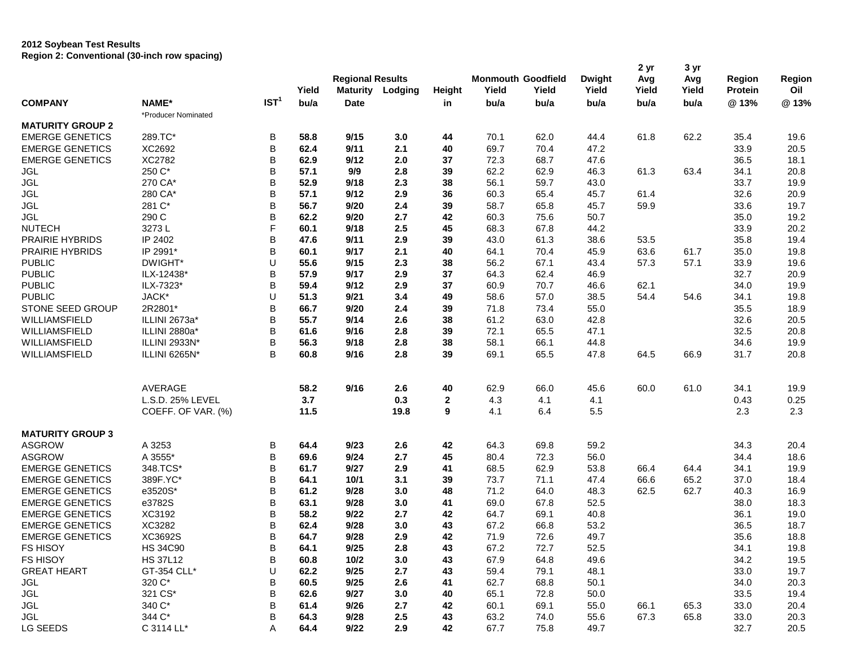## **2012 Soybean Test Results Region 2: Conventional (30-inch row spacing)**

|                                          |                     |                  | Yield        | <b>Regional Results</b><br><b>Maturity</b> | Lodging    | Height       | <b>Monmouth Goodfield</b><br>Yield | Yield        | <b>Dwight</b><br>Yield | 2 yr<br>Avg<br>Yield | 3 yr<br>Avg<br>Yield | <b>Region</b><br>Protein | Region<br>Oil |
|------------------------------------------|---------------------|------------------|--------------|--------------------------------------------|------------|--------------|------------------------------------|--------------|------------------------|----------------------|----------------------|--------------------------|---------------|
| <b>COMPANY</b>                           | NAME*               | IST <sup>1</sup> | bu/a         | <b>Date</b>                                |            | in           | bu/a                               | bu/a         | bu/a                   | bu/a                 | bu/a                 | @13%                     | @13%          |
| <b>MATURITY GROUP 2</b>                  | *Producer Nominated |                  |              |                                            |            |              |                                    |              |                        |                      |                      |                          |               |
| <b>EMERGE GENETICS</b>                   | 289.TC*             | В                | 58.8         | 9/15                                       | 3.0        | 44           | 70.1                               | 62.0         | 44.4                   | 61.8                 | 62.2                 | 35.4                     | 19.6          |
| <b>EMERGE GENETICS</b>                   | XC2692              | B                | 62.4         | 9/11                                       | 2.1        | 40           | 69.7                               | 70.4         | 47.2                   |                      |                      | 33.9                     | 20.5          |
| <b>EMERGE GENETICS</b>                   | XC2782              | B                | 62.9         | 9/12                                       | 2.0        | 37           | 72.3                               | 68.7         | 47.6                   |                      |                      | 36.5                     | 18.1          |
| <b>JGL</b>                               | 250 C*              | B                | 57.1         | 9/9                                        | 2.8        | 39           | 62.2                               | 62.9         | 46.3                   | 61.3                 | 63.4                 | 34.1                     | 20.8          |
| <b>JGL</b>                               | 270 CA*             | B                | 52.9         | 9/18                                       | 2.3        | 38           | 56.1                               | 59.7         | 43.0                   |                      |                      | 33.7                     | 19.9          |
| <b>JGL</b>                               | 280 CA*             | B                | 57.1         | 9/12                                       | 2.9        | 36           | 60.3                               | 65.4         |                        | 61.4                 |                      | 32.6                     | 20.9          |
| <b>JGL</b>                               | 281 C*              | B                | 56.7         | 9/20                                       | 2.4        |              | 58.7                               | 65.8         | 45.7                   | 59.9                 |                      |                          |               |
|                                          |                     |                  | 62.2         | 9/20                                       |            | 39           |                                    |              | 45.7                   |                      |                      | 33.6                     | 19.7          |
| <b>JGL</b>                               | 290 C               | B<br>F           |              |                                            | 2.7        | 42           | 60.3                               | 75.6         | 50.7                   |                      |                      | 35.0                     | 19.2          |
| <b>NUTECH</b>                            | 3273L               |                  | 60.1         | 9/18                                       | 2.5        | 45           | 68.3                               | 67.8         | 44.2                   |                      |                      | 33.9                     | 20.2          |
| PRAIRIE HYBRIDS                          | IP 2402             | В                | 47.6         | 9/11                                       | 2.9        | 39           | 43.0                               | 61.3         | 38.6                   | 53.5                 |                      | 35.8                     | 19.4          |
| PRAIRIE HYBRIDS                          | IP 2991*            | B                | 60.1         | 9/17                                       | 2.1        | 40           | 64.1                               | 70.4         | 45.9                   | 63.6                 | 61.7                 | 35.0                     | 19.8          |
| <b>PUBLIC</b>                            | DWIGHT*             | U                | 55.6         | 9/15                                       | 2.3        | 38           | 56.2                               | 67.1         | 43.4                   | 57.3                 | 57.1                 | 33.9                     | 19.6          |
| <b>PUBLIC</b>                            | ILX-12438*          | B                | 57.9         | 9/17                                       | 2.9        | 37           | 64.3                               | 62.4         | 46.9                   |                      |                      | 32.7                     | 20.9          |
| <b>PUBLIC</b>                            | ILX-7323*           | B                | 59.4         | 9/12                                       | 2.9        | 37           | 60.9                               | 70.7         | 46.6                   | 62.1                 |                      | 34.0                     | 19.9          |
| <b>PUBLIC</b>                            | JACK*               | U                | 51.3         | 9/21                                       | 3.4        | 49           | 58.6                               | 57.0         | 38.5                   | 54.4                 | 54.6                 | 34.1                     | 19.8          |
| STONE SEED GROUP                         | 2R2801*             | B                | 66.7         | 9/20                                       | 2.4        | 39           | 71.8                               | 73.4         | 55.0                   |                      |                      | 35.5                     | 18.9          |
| WILLIAMSFIELD                            | ILLINI 2673a*       | B                | 55.7         | 9/14                                       | 2.6        | 38           | 61.2                               | 63.0         | 42.8                   |                      |                      | 32.6                     | 20.5          |
| <b>WILLIAMSFIELD</b>                     | ILLINI 2880a*       | B                | 61.6         | 9/16                                       | 2.8        | 39           | 72.1                               | 65.5         | 47.1                   |                      |                      | 32.5                     | 20.8          |
| WILLIAMSFIELD                            | ILLINI 2933N*       | В                | 56.3         | 9/18                                       | 2.8        | 38           | 58.1                               | 66.1         | 44.8                   |                      |                      | 34.6                     | 19.9          |
| WILLIAMSFIELD                            | ILLINI 6265N*       | B                | 60.8         | 9/16                                       | 2.8        | 39           | 69.1                               | 65.5         | 47.8                   | 64.5                 | 66.9                 | 31.7                     | 20.8          |
|                                          | AVERAGE             |                  | 58.2         | 9/16                                       | 2.6        | 40           | 62.9                               | 66.0         | 45.6                   | 60.0                 | 61.0                 | 34.1                     | 19.9          |
|                                          | L.S.D. 25% LEVEL    |                  | 3.7          |                                            | 0.3        | $\mathbf{2}$ | 4.3                                | 4.1          | 4.1                    |                      |                      | 0.43                     | 0.25          |
|                                          | COEFF. OF VAR. (%)  |                  | 11.5         |                                            | 19.8       | 9            | 4.1                                | 6.4          | 5.5                    |                      |                      | 2.3                      | 2.3           |
| <b>MATURITY GROUP 3</b><br><b>ASGROW</b> | A 3253              | В                | 64.4         | 9/23                                       | 2.6        | 42           | 64.3                               | 69.8         | 59.2                   |                      |                      | 34.3                     | 20.4          |
| <b>ASGROW</b>                            | A 3555*             | B                | 69.6         | 9/24                                       | 2.7        | 45           | 80.4                               | 72.3         | 56.0                   |                      |                      | 34.4                     | 18.6          |
| <b>EMERGE GENETICS</b>                   | 348.TCS*            | B                | 61.7         | 9/27                                       | 2.9        | 41           | 68.5                               | 62.9         | 53.8                   | 66.4                 | 64.4                 | 34.1                     | 19.9          |
| <b>EMERGE GENETICS</b>                   | 389F.YC*            | B                | 64.1         | 10/1                                       | 3.1        | 39           | 73.7                               | 71.1         | 47.4                   | 66.6                 | 65.2                 | 37.0                     | 18.4          |
| <b>EMERGE GENETICS</b>                   | e3520S*             | B                | 61.2         | 9/28                                       | 3.0        | 48           | 71.2                               | 64.0         | 48.3                   | 62.5                 | 62.7                 | 40.3                     | 16.9          |
| <b>EMERGE GENETICS</b>                   | e3782S              | B                | 63.1         | 9/28                                       | 3.0        | 41           | 69.0                               | 67.8         | 52.5                   |                      |                      | 38.0                     | 18.3          |
| <b>EMERGE GENETICS</b>                   | XC3192              | B                | 58.2         | 9/22                                       | 2.7        | 42           | 64.7                               | 69.1         | 40.8                   |                      |                      | 36.1                     | 19.0          |
| <b>EMERGE GENETICS</b>                   | XC3282              | B                | 62.4         | 9/28                                       | 3.0        | 43           | 67.2                               | 66.8         | 53.2                   |                      |                      | 36.5                     | 18.7          |
| <b>EMERGE GENETICS</b>                   | XC3692S             | B                | 64.7         | 9/28                                       | 2.9        | 42           | 71.9                               | 72.6         | 49.7                   |                      |                      | 35.6                     | 18.8          |
|                                          | <b>HS 34C90</b>     | B                |              |                                            |            |              |                                    |              |                        |                      |                      |                          |               |
| FS HISOY<br>FS HISOY                     | <b>HS 37L12</b>     | В                | 64.1<br>60.8 | 9/25<br>10/2                               | 2.8<br>3.0 | 43<br>43     | 67.2<br>67.9                       | 72.7<br>64.8 | 52.5<br>49.6           |                      |                      | 34.1<br>34.2             | 19.8<br>19.5  |
| <b>GREAT HEART</b>                       | GT-354 CLL*         | U                |              |                                            |            |              |                                    |              |                        |                      |                      |                          |               |
|                                          | 320 C*              |                  | 62.2<br>60.5 | 9/25<br>9/25                               | 2.7        | 43           | 59.4                               | 79.1         | 48.1                   |                      |                      | 33.0                     | 19.7          |
| JGL                                      |                     | В<br>B           |              |                                            | 2.6        | 41           | 62.7                               | 68.8         | 50.1                   |                      |                      | 34.0                     | 20.3          |
| JGL                                      | 321 CS*<br>340 C*   | B                | 62.6<br>61.4 | 9/27<br>9/26                               | 3.0        | 40           | 65.1                               | 72.8         | 50.0                   |                      |                      | 33.5                     | 19.4          |
| JGL<br>JGL                               | 344 C*              | В                | 64.3         | 9/28                                       | 2.7<br>2.5 | 42<br>43     | 60.1<br>63.2                       | 69.1<br>74.0 | 55.0<br>55.6           | 66.1<br>67.3         | 65.3<br>65.8         | 33.0<br>33.0             | 20.4<br>20.3  |
| LG SEEDS                                 |                     |                  | 64.4         | 9/22                                       |            | 42           | 67.7                               |              |                        |                      |                      | 32.7                     |               |
|                                          | C 3114 LL*          | Α                |              |                                            | 2.9        |              |                                    | 75.8         | 49.7                   |                      |                      |                          | 20.5          |